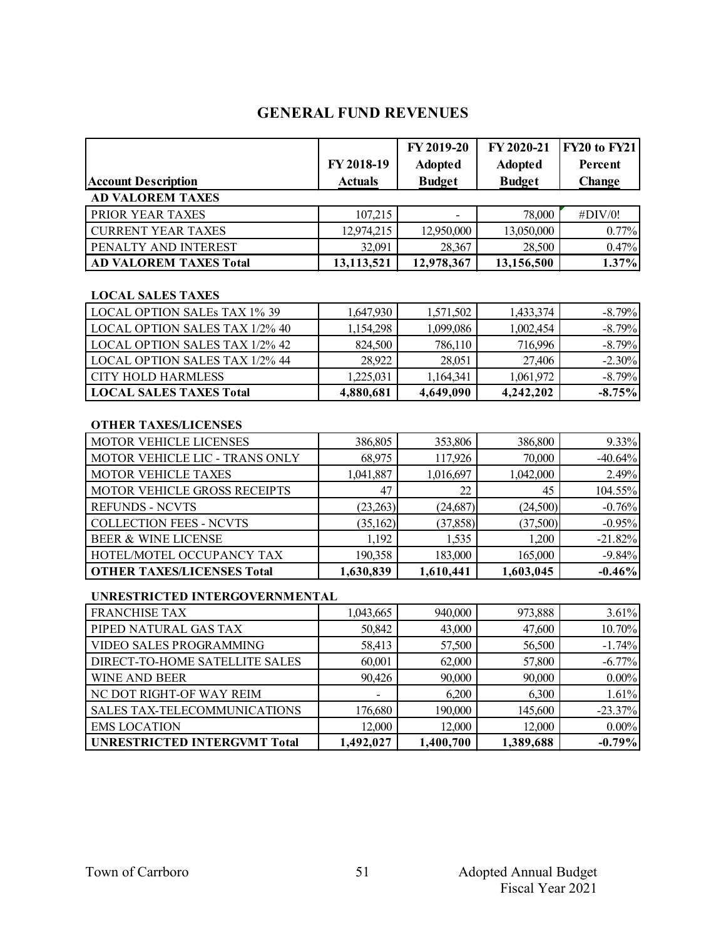# **GENERAL FUND REVENUES**

| <b>Account Description</b>    | FY 2018-19<br><b>Actuals</b> | FY 2019-20<br><b>Adopted</b><br><b>Budget</b> | FY 2020-21<br><b>Adopted</b><br><b>Budget</b> | FY20 to FY21<br>Percent<br><b>Change</b> |
|-------------------------------|------------------------------|-----------------------------------------------|-----------------------------------------------|------------------------------------------|
| <b>AD VALOREM TAXES</b>       |                              |                                               |                                               |                                          |
| PRIOR YEAR TAXES              | 107,215                      | -                                             | 78,000                                        | #DIV/0!                                  |
| <b>CURRENT YEAR TAXES</b>     | 12,974,215                   | 12,950,000                                    | 13,050,000                                    | 0.77%                                    |
| PENALTY AND INTEREST          | 32,091                       | 28,367                                        | 28,500                                        | 0.47%                                    |
| <b>AD VALOREM TAXES Total</b> | 13,113,521                   | 12,978,367                                    | 13,156,500                                    | 1.37%                                    |

#### **LOCAL SALES TAXES**

| <b>LOCAL OPTION SALEs TAX 1% 39</b>   | 1,647,930 | 1,571,502 | 1,433,374 | $-8.79\%$ |
|---------------------------------------|-----------|-----------|-----------|-----------|
| LOCAL OPTION SALES TAX 1/2% 40        | 1,154,298 | 1,099,086 | 1,002,454 | $-8.79\%$ |
| LOCAL OPTION SALES TAX 1/2% 42        | 824,500   | 786,110   | 716,996   | $-8.79\%$ |
| <b>LOCAL OPTION SALES TAX 1/2% 44</b> | 28.922    | 28,051    | 27,406    | $-2.30%$  |
| CITY HOLD HARMLESS                    | 1.225.031 | 1.164.341 | 1,061,972 | $-8.79\%$ |
| <b>LOCAL SALES TAXES Total</b>        | 4,880,681 | 4,649,090 | 4,242,202 | $-8.75%$  |

# **OTHER TAXES/LICENSES**

| <b>MOTOR VEHICLE LICENSES</b>       | 386,805   | 353,806   | 386,800   | 9.33%     |
|-------------------------------------|-----------|-----------|-----------|-----------|
| MOTOR VEHICLE LIC - TRANS ONLY      | 68,975    | 117,926   | 70,000    | $-40.64%$ |
| <b>MOTOR VEHICLE TAXES</b>          | 1,041,887 | 1,016,697 | 1,042,000 | 2.49%     |
| <b>MOTOR VEHICLE GROSS RECEIPTS</b> | 47        | 22        | 45        | 104.55%   |
| <b>REFUNDS - NCVTS</b>              | (23,263)  | (24, 687) | (24,500)  | $-0.76%$  |
| <b>COLLECTION FEES - NCVTS</b>      | (35,162)  | (37, 858) | (37,500)  | $-0.95%$  |
| <b>BEER &amp; WINE LICENSE</b>      | 1,192     | 1,535     | 1,200     | $-21.82%$ |
| HOTEL/MOTEL OCCUPANCY TAX           | 190,358   | 183,000   | 165,000   | $-9.84%$  |
| <b>OTHER TAXES/LICENSES Total</b>   | 1,630,839 | 1,610,441 | 1,603,045 | $-0.46%$  |

#### **UNRESTRICTED INTERGOVERNMENTAL**

| <b>FRANCHISE TAX</b>                | 1,043,665 | 940,000   | 973,888   | 3.61%     |
|-------------------------------------|-----------|-----------|-----------|-----------|
| PIPED NATURAL GAS TAX               | 50,842    | 43,000    | 47,600    | 10.70%    |
| VIDEO SALES PROGRAMMING             | 58,413    | 57,500    | 56,500    | $-1.74%$  |
| DIRECT-TO-HOME SATELLITE SALES      | 60,001    | 62,000    | 57,800    | $-6.77%$  |
| WINE AND BEER                       | 90,426    | 90,000    | 90,000    | 0.00%     |
| NC DOT RIGHT-OF WAY REIM            |           | 6,200     | 6,300     | 1.61%     |
| SALES TAX-TELECOMMUNICATIONS        | 176,680   | 190,000   | 145,600   | $-23.37%$ |
| <b>EMS LOCATION</b>                 | 12,000    | 12,000    | 12,000    | $0.00\%$  |
| <b>UNRESTRICTED INTERGVMT Total</b> | 1,492,027 | 1,400,700 | 1,389,688 | $-0.79%$  |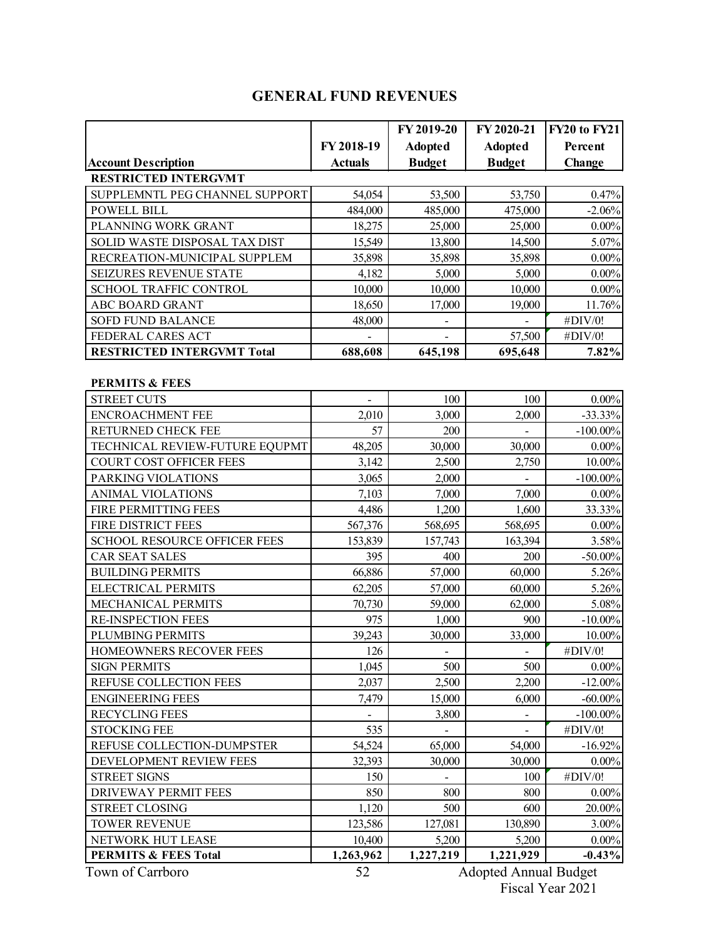# **GENERAL FUND REVENUES**

|                                     |                | FY 2019-20                   | FY 2020-21     | <b>FY20 to FY21</b> |  |  |  |
|-------------------------------------|----------------|------------------------------|----------------|---------------------|--|--|--|
|                                     | FY 2018-19     | <b>Adopted</b>               | <b>Adopted</b> | Percent             |  |  |  |
| <b>Account Description</b>          | <b>Actuals</b> | <b>Budget</b>                | <b>Budget</b>  | Change              |  |  |  |
| <b>RESTRICTED INTERGVMT</b>         |                |                              |                |                     |  |  |  |
| SUPPLEMNTL PEG CHANNEL SUPPORT      | 54,054         | 53,500                       | 53,750         | 0.47%               |  |  |  |
| <b>POWELL BILL</b>                  | 484,000        | 485,000                      | 475,000        | $-2.06%$            |  |  |  |
| PLANNING WORK GRANT                 | 18,275         | 25,000                       | 25,000         | $0.00\%$            |  |  |  |
| SOLID WASTE DISPOSAL TAX DIST       | 15,549         | 13,800                       | 14,500         | 5.07%               |  |  |  |
| RECREATION-MUNICIPAL SUPPLEM        | 35,898         | 35,898                       | 35,898         | $0.00\%$            |  |  |  |
| SEIZURES REVENUE STATE              | 4,182          | 5,000                        | 5,000          | $0.00\%$            |  |  |  |
| SCHOOL TRAFFIC CONTROL              | 10,000         | 10,000                       | 10,000         | $0.00\%$            |  |  |  |
| ABC BOARD GRANT                     | 18,650         | 17,000                       | 19,000         | 11.76%              |  |  |  |
| SOFD FUND BALANCE                   | 48,000         |                              |                | #DIV/0!             |  |  |  |
| FEDERAL CARES ACT                   |                |                              | 57,500         | #DIV/0!             |  |  |  |
| <b>RESTRICTED INTERGVMT Total</b>   | 688,608        | 645,198                      | 695,648        | 7.82%               |  |  |  |
|                                     |                |                              |                |                     |  |  |  |
| <b>PERMITS &amp; FEES</b>           |                |                              |                |                     |  |  |  |
| <b>STREET CUTS</b>                  |                | 100                          | 100            | $0.00\%$            |  |  |  |
| <b>ENCROACHMENT FEE</b>             | 2,010          | 3,000                        | 2,000          | $-33.33%$           |  |  |  |
| RETURNED CHECK FEE                  | 57             | 200                          |                | $-100.00\%$         |  |  |  |
| TECHNICAL REVIEW-FUTURE EQUPMT      | 48,205         | 30,000                       | 30,000         | $0.00\%$            |  |  |  |
| COURT COST OFFICER FEES             | 3,142          | 2,500                        | 2,750          | $10.00\%$           |  |  |  |
| PARKING VIOLATIONS                  | 3,065          | 2,000                        |                | $-100.00\%$         |  |  |  |
| <b>ANIMAL VIOLATIONS</b>            | 7,103          | 7,000                        | 7,000          | $0.00\%$            |  |  |  |
| FIRE PERMITTING FEES                | 4,486          | 1,200                        | 1,600          | 33.33%              |  |  |  |
| FIRE DISTRICT FEES                  | 567,376        | 568,695                      | 568,695        | $0.00\%$            |  |  |  |
| <b>SCHOOL RESOURCE OFFICER FEES</b> | 153,839        | 157,743                      | 163,394        | 3.58%               |  |  |  |
| <b>CAR SEAT SALES</b>               | 395            | 400                          | 200            | $-50.00\%$          |  |  |  |
| <b>BUILDING PERMITS</b>             | 66,886         | 57,000                       | 60,000         | 5.26%               |  |  |  |
| <b>ELECTRICAL PERMITS</b>           | 62,205         | 57,000                       | 60,000         | 5.26%               |  |  |  |
| MECHANICAL PERMITS                  | 70,730         | 59,000                       | 62,000         | 5.08%               |  |  |  |
| RE-INSPECTION FEES                  | 975            | 1,000                        | 900            | $-10.00\%$          |  |  |  |
| PLUMBING PERMITS                    | 39,243         | 30,000                       | 33,000         | 10.00%              |  |  |  |
| <b>HOMEOWNERS RECOVER FEES</b>      | 126            |                              |                | #DIV/0!             |  |  |  |
| <b>SIGN PERMITS</b>                 | 1,045          | 500                          | 500            | $0.00\%$            |  |  |  |
| REFUSE COLLECTION FEES              | 2,037          | 2,500                        | 2,200          | $-12.00\%$          |  |  |  |
| <b>ENGINEERING FEES</b>             | 7,479          | 15,000                       | 6,000          | $-60.00\%$          |  |  |  |
| <b>RECYCLING FEES</b>               |                | 3,800                        | $\blacksquare$ | $-100.00\%$         |  |  |  |
| <b>STOCKING FEE</b>                 | 535            |                              | $\blacksquare$ | #DIV/0!             |  |  |  |
| REFUSE COLLECTION-DUMPSTER          | 54,524         | 65,000                       | 54,000         | $-16.92%$           |  |  |  |
| DEVELOPMENT REVIEW FEES             | 32,393         | 30,000                       | 30,000         | $0.00\%$            |  |  |  |
| <b>STREET SIGNS</b>                 | 150            |                              | 100            | #DIV/0!             |  |  |  |
| DRIVEWAY PERMIT FEES                | 850            | 800                          | 800            | $0.00\%$            |  |  |  |
| STREET CLOSING                      | 1,120          | 500                          | 600            | 20.00%              |  |  |  |
| <b>TOWER REVENUE</b>                | 123,586        | 127,081                      | 130,890        | $3.00\%$            |  |  |  |
| NETWORK HUT LEASE                   | 10,400         | 5,200                        | 5,200          | $0.00\%$            |  |  |  |
| <b>PERMITS &amp; FEES Total</b>     | 1,263,962      | 1,227,219                    | 1,221,929      | $-0.43%$            |  |  |  |
| Town of Carrboro                    | 52             | <b>Adopted Annual Budget</b> |                |                     |  |  |  |

Fiscal Year 2021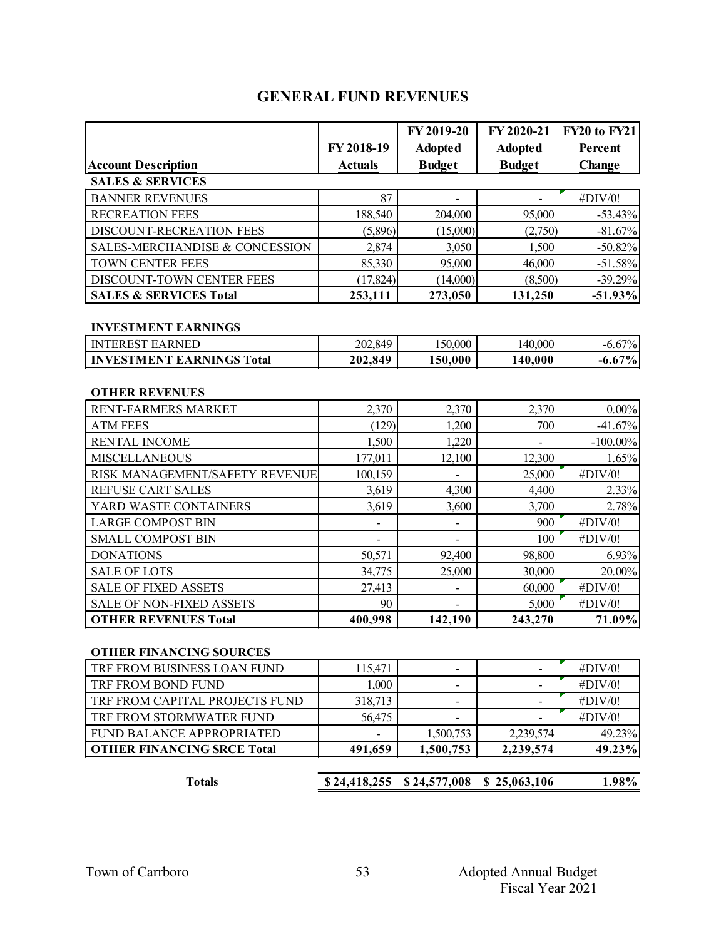# **GENERAL FUND REVENUES**

|                                              |                  | FY 2019-20     | FY 2020-21               | <b>FY20 to FY21</b>  |
|----------------------------------------------|------------------|----------------|--------------------------|----------------------|
|                                              | FY 2018-19       | <b>Adopted</b> | <b>Adopted</b>           | Percent              |
| <b>Account Description</b>                   | <b>Actuals</b>   | <b>Budget</b>  | <b>Budget</b>            | Change               |
| <b>SALES &amp; SERVICES</b>                  |                  |                |                          |                      |
| <b>BANNER REVENUES</b>                       | 87               |                |                          | #DIV/0!              |
| <b>RECREATION FEES</b>                       | 188,540          | 204,000        | 95,000                   | $-53.43%$            |
| DISCOUNT-RECREATION FEES                     | (5,896)          | (15,000)       | (2,750)                  | $-81.67%$            |
| SALES-MERCHANDISE & CONCESSION               | 2,874            | 3,050          | 1,500                    | $-50.82%$            |
| TOWN CENTER FEES                             | 85,330           | 95,000         | 46,000                   | $-51.58%$            |
| DISCOUNT-TOWN CENTER FEES                    | (17, 824)        | (14,000)       | (8,500)                  | $-39.29%$            |
| <b>SALES &amp; SERVICES Total</b>            | 253,111          | 273,050        | 131,250                  | $-51.93%$            |
|                                              |                  |                |                          |                      |
| <b>INVESTMENT EARNINGS</b>                   |                  |                |                          |                      |
| <b>INTEREST EARNED</b>                       | 202,849          | 150,000        | 140,000                  | $-6.67%$             |
| <b>INVESTMENT EARNINGS Total</b>             | 202,849          | 150,000        | 140,000                  | $-6.67%$             |
|                                              |                  |                |                          |                      |
| <b>OTHER REVENUES</b><br>RENT-FARMERS MARKET | 2,370            | 2,370          | 2,370                    | $0.00\%$             |
| <b>ATM FEES</b>                              | (129)            | 1,200          | 700                      | $-41.67%$            |
| <b>RENTAL INCOME</b>                         | 1,500            | 1,220          |                          |                      |
| <b>MISCELLANEOUS</b>                         | 177,011          |                | $\overline{\phantom{a}}$ | $-100.00\%$<br>1.65% |
| RISK MANAGEMENT/SAFETY REVENUE               |                  | 12,100         | 12,300<br>25,000         | #DIV/0!              |
| <b>REFUSE CART SALES</b>                     | 100,159<br>3,619 | 4,300          | 4,400                    | 2.33%                |
| YARD WASTE CONTAINERS                        |                  |                |                          | 2.78%                |
| <b>LARGE COMPOST BIN</b>                     | 3,619            | 3,600          | 3,700<br>900             | #DIV/0!              |
|                                              |                  |                |                          |                      |
| <b>SMALL COMPOST BIN</b>                     |                  |                | 100                      | #DIV/0!              |
| <b>DONATIONS</b>                             | 50,571           | 92,400         | 98,800                   | 6.93%                |
| <b>SALE OF LOTS</b>                          | 34,775           | 25,000         | 30,000                   | 20.00%               |
| <b>SALE OF FIXED ASSETS</b>                  | 27,413           |                | 60,000                   | #DIV/0!              |
| SALE OF NON-FIXED ASSETS                     | 90<br>400,998    |                | 5,000                    | #DIV/0!<br>71.09%    |
| <b>OTHER REVENUES Total</b>                  |                  | 142,190        | 243,270                  |                      |
| <b>OTHER FINANCING SOURCES</b>               |                  |                |                          |                      |
| TRF FROM BUSINESS LOAN FUND                  | 115,471          | Ξ.             | $\overline{\phantom{a}}$ | #DIV/0!              |
| TRF FROM BOND FUND                           | 1,000            |                |                          | #DIV/0!              |
| TRF FROM CAPITAL PROJECTS FUND               | 318,713          | -              |                          | #DIV/0!              |
| TRF FROM STORMWATER FUND                     | 56,475           |                |                          | #DIV/0!              |
| FUND BALANCE APPROPRIATED                    |                  | 1,500,753      | 2,239,574                | 49.23%               |
| <b>OTHER FINANCING SRCE Total</b>            | 491,659          | 1,500,753      | 2,239,574                | 49.23%               |
|                                              |                  |                |                          |                      |
| <b>Totals</b>                                | \$24,418,255     | \$24,577,008   | \$25,063,106             | 1.98%                |
|                                              |                  |                |                          |                      |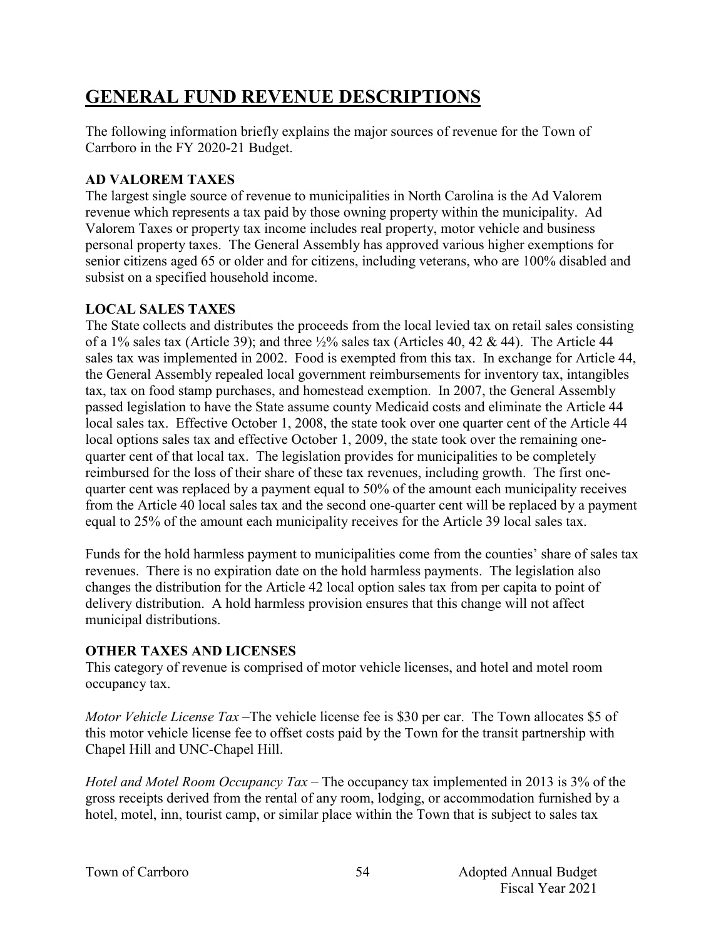# **GENERAL FUND REVENUE DESCRIPTIONS**

The following information briefly explains the major sources of revenue for the Town of Carrboro in the FY 2020-21 Budget.

## **AD VALOREM TAXES**

The largest single source of revenue to municipalities in North Carolina is the Ad Valorem revenue which represents a tax paid by those owning property within the municipality. Ad Valorem Taxes or property tax income includes real property, motor vehicle and business personal property taxes. The General Assembly has approved various higher exemptions for senior citizens aged 65 or older and for citizens, including veterans, who are 100% disabled and subsist on a specified household income.

## **LOCAL SALES TAXES**

The State collects and distributes the proceeds from the local levied tax on retail sales consisting of a 1% sales tax (Article 39); and three  $\frac{1}{2}$ % sales tax (Articles 40, 42 & 44). The Article 44 sales tax was implemented in 2002. Food is exempted from this tax. In exchange for Article 44, the General Assembly repealed local government reimbursements for inventory tax, intangibles tax, tax on food stamp purchases, and homestead exemption. In 2007, the General Assembly passed legislation to have the State assume county Medicaid costs and eliminate the Article 44 local sales tax. Effective October 1, 2008, the state took over one quarter cent of the Article 44 local options sales tax and effective October 1, 2009, the state took over the remaining onequarter cent of that local tax. The legislation provides for municipalities to be completely reimbursed for the loss of their share of these tax revenues, including growth. The first onequarter cent was replaced by a payment equal to 50% of the amount each municipality receives from the Article 40 local sales tax and the second one-quarter cent will be replaced by a payment equal to 25% of the amount each municipality receives for the Article 39 local sales tax.

Funds for the hold harmless payment to municipalities come from the counties' share of sales tax revenues. There is no expiration date on the hold harmless payments. The legislation also changes the distribution for the Article 42 local option sales tax from per capita to point of delivery distribution. A hold harmless provision ensures that this change will not affect municipal distributions.

#### **OTHER TAXES AND LICENSES**

This category of revenue is comprised of motor vehicle licenses, and hotel and motel room occupancy tax.

*Motor Vehicle License Tax* –The vehicle license fee is \$30 per car. The Town allocates \$5 of this motor vehicle license fee to offset costs paid by the Town for the transit partnership with Chapel Hill and UNC-Chapel Hill.

*Hotel and Motel Room Occupancy Tax* – The occupancy tax implemented in 2013 is 3% of the gross receipts derived from the rental of any room, lodging, or accommodation furnished by a hotel, motel, inn, tourist camp, or similar place within the Town that is subject to sales tax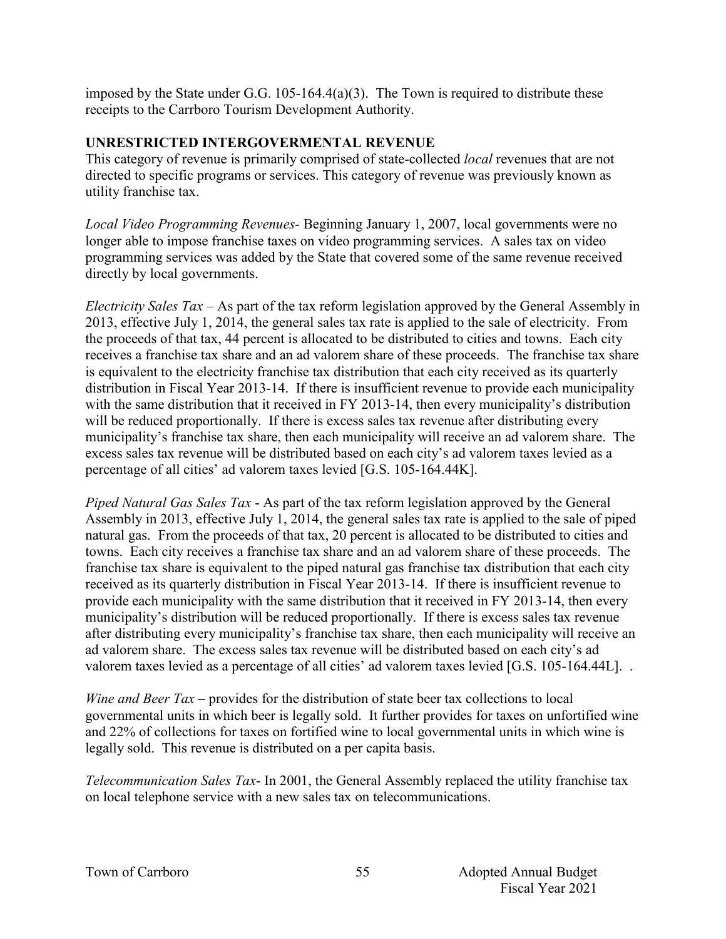imposed by the State under G.G.  $105-164.4(a)(3)$ . The Town is required to distribute these receipts to the Carrboro Tourism Development Authority.

#### **UNRESTRICTED INTERGOVERMENTAL REVENUE**

This category of revenue is primarily comprised of state-collected *local* revenues that are not directed to specific programs or services. This category of revenue was previously known as utility franchise tax.

*Local Video Programming Revenues*- Beginning January 1, 2007, local governments were no longer able to impose franchise taxes on video programming services. A sales tax on video programming services was added by the State that covered some of the same revenue received directly by local governments.

*Electricity Sales Tax* – As part of the tax reform legislation approved by the General Assembly in 2013, effective July 1, 2014, the general sales tax rate is applied to the sale of electricity. From the proceeds of that tax, 44 percent is allocated to be distributed to cities and towns. Each city receives a franchise tax share and an ad valorem share of these proceeds. The franchise tax share is equivalent to the electricity franchise tax distribution that each city received as its quarterly distribution in Fiscal Year 2013-14. If there is insufficient revenue to provide each municipality with the same distribution that it received in FY 2013-14, then every municipality's distribution will be reduced proportionally. If there is excess sales tax revenue after distributing every municipality's franchise tax share, then each municipality will receive an ad valorem share. The excess sales tax revenue will be distributed based on each city's ad valorem taxes levied as a percentage of all cities' ad valorem taxes levied [G.S. 105-164.44K].

*Piped Natural Gas Sales Tax* - As part of the tax reform legislation approved by the General Assembly in 2013, effective July 1, 2014, the general sales tax rate is applied to the sale of piped natural gas. From the proceeds of that tax, 20 percent is allocated to be distributed to cities and towns. Each city receives a franchise tax share and an ad valorem share of these proceeds. The franchise tax share is equivalent to the piped natural gas franchise tax distribution that each city received as its quarterly distribution in Fiscal Year 2013-14. If there is insufficient revenue to provide each municipality with the same distribution that it received in FY 2013-14, then every municipality's distribution will be reduced proportionally. If there is excess sales tax revenue after distributing every municipality's franchise tax share, then each municipality will receive an ad valorem share. The excess sales tax revenue will be distributed based on each city's ad valorem taxes levied as a percentage of all cities' ad valorem taxes levied [G.S. 105-164.44L]. .

*Wine and Beer Tax* – provides for the distribution of state beer tax collections to local governmental units in which beer is legally sold. It further provides for taxes on unfortified wine and 22% of collections for taxes on fortified wine to local governmental units in which wine is legally sold. This revenue is distributed on a per capita basis.

*Telecommunication Sales Tax*- In 2001, the General Assembly replaced the utility franchise tax on local telephone service with a new sales tax on telecommunications.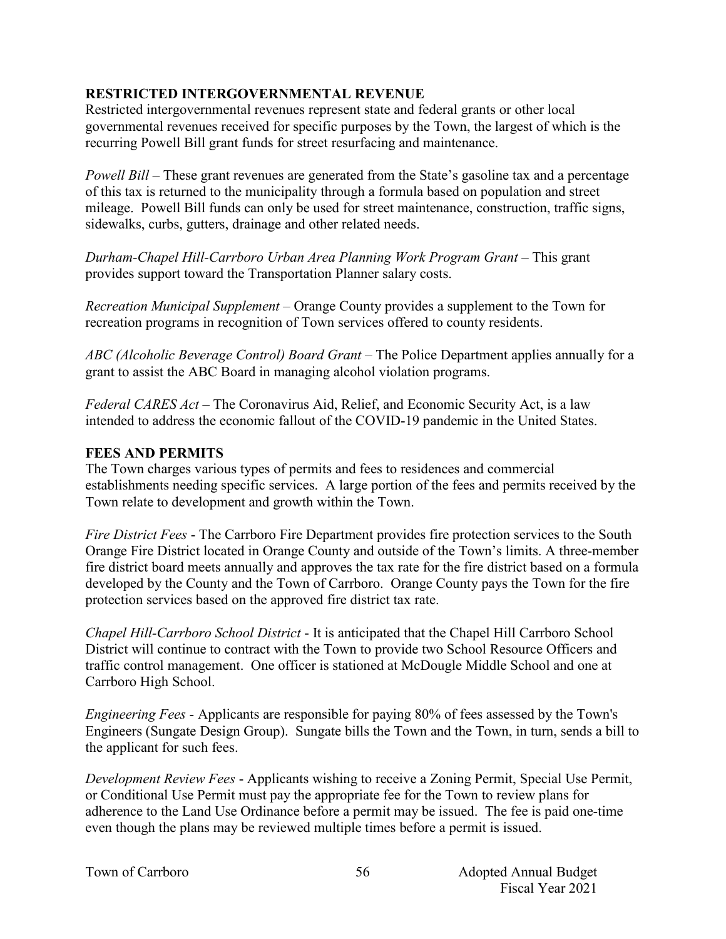## **RESTRICTED INTERGOVERNMENTAL REVENUE**

Restricted intergovernmental revenues represent state and federal grants or other local governmental revenues received for specific purposes by the Town, the largest of which is the recurring Powell Bill grant funds for street resurfacing and maintenance.

*Powell Bill* – These grant revenues are generated from the State's gasoline tax and a percentage of this tax is returned to the municipality through a formula based on population and street mileage. Powell Bill funds can only be used for street maintenance, construction, traffic signs, sidewalks, curbs, gutters, drainage and other related needs.

*Durham-Chapel Hill-Carrboro Urban Area Planning Work Program Grant* – This grant provides support toward the Transportation Planner salary costs.

*Recreation Municipal Supplement –* Orange County provides a supplement to the Town for recreation programs in recognition of Town services offered to county residents.

*ABC (Alcoholic Beverage Control) Board Grant* – The Police Department applies annually for a grant to assist the ABC Board in managing alcohol violation programs.

*Federal CARES Act –* The Coronavirus Aid, Relief, and Economic Security Act, is a law intended to address the economic fallout of the COVID-19 pandemic in the United States.

## **FEES AND PERMITS**

The Town charges various types of permits and fees to residences and commercial establishments needing specific services. A large portion of the fees and permits received by the Town relate to development and growth within the Town.

*Fire District Fees* - The Carrboro Fire Department provides fire protection services to the South Orange Fire District located in Orange County and outside of the Town's limits. A three-member fire district board meets annually and approves the tax rate for the fire district based on a formula developed by the County and the Town of Carrboro. Orange County pays the Town for the fire protection services based on the approved fire district tax rate.

*Chapel Hill-Carrboro School District* - It is anticipated that the Chapel Hill Carrboro School District will continue to contract with the Town to provide two School Resource Officers and traffic control management. One officer is stationed at McDougle Middle School and one at Carrboro High School.

*Engineering Fees* - Applicants are responsible for paying 80% of fees assessed by the Town's Engineers (Sungate Design Group). Sungate bills the Town and the Town, in turn, sends a bill to the applicant for such fees.

*Development Review Fees* - Applicants wishing to receive a Zoning Permit, Special Use Permit, or Conditional Use Permit must pay the appropriate fee for the Town to review plans for adherence to the Land Use Ordinance before a permit may be issued. The fee is paid one-time even though the plans may be reviewed multiple times before a permit is issued.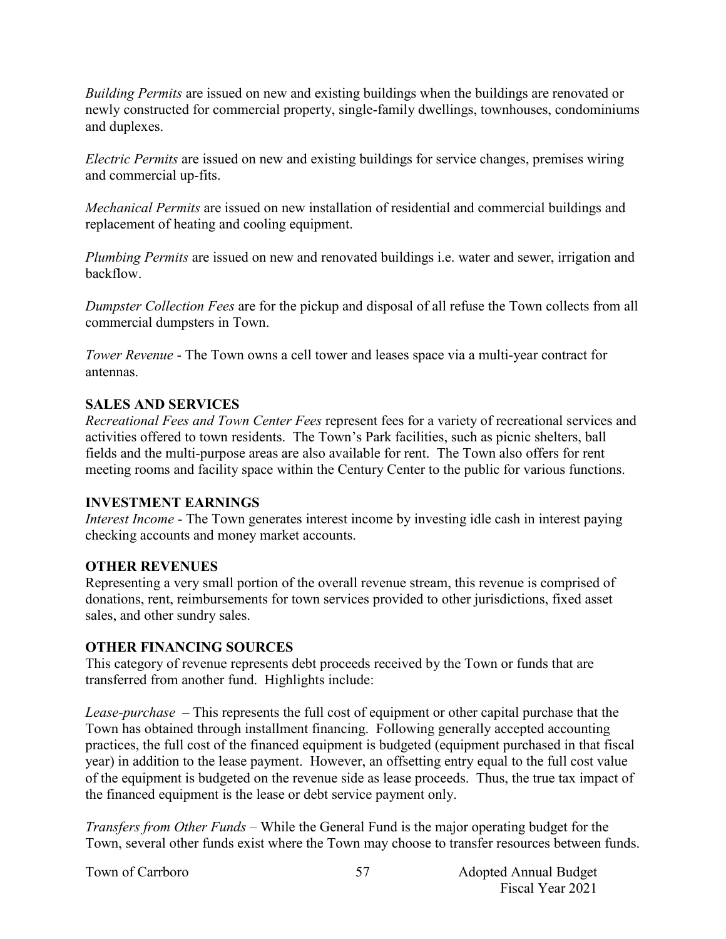*Building Permits* are issued on new and existing buildings when the buildings are renovated or newly constructed for commercial property, single-family dwellings, townhouses, condominiums and duplexes.

*Electric Permits* are issued on new and existing buildings for service changes, premises wiring and commercial up-fits.

*Mechanical Permits* are issued on new installation of residential and commercial buildings and replacement of heating and cooling equipment.

*Plumbing Permits* are issued on new and renovated buildings i.e. water and sewer, irrigation and backflow.

*Dumpster Collection Fees* are for the pickup and disposal of all refuse the Town collects from all commercial dumpsters in Town.

*Tower Revenue* - The Town owns a cell tower and leases space via a multi-year contract for antennas.

# **SALES AND SERVICES**

*Recreational Fees and Town Center Fees* represent fees for a variety of recreational services and activities offered to town residents. The Town's Park facilities, such as picnic shelters, ball fields and the multi-purpose areas are also available for rent. The Town also offers for rent meeting rooms and facility space within the Century Center to the public for various functions.

#### **INVESTMENT EARNINGS**

*Interest Income* - The Town generates interest income by investing idle cash in interest paying checking accounts and money market accounts.

#### **OTHER REVENUES**

Representing a very small portion of the overall revenue stream, this revenue is comprised of donations, rent, reimbursements for town services provided to other jurisdictions, fixed asset sales, and other sundry sales.

#### **OTHER FINANCING SOURCES**

This category of revenue represents debt proceeds received by the Town or funds that are transferred from another fund. Highlights include:

*Lease-purchase –* This represents the full cost of equipment or other capital purchase that the Town has obtained through installment financing. Following generally accepted accounting practices, the full cost of the financed equipment is budgeted (equipment purchased in that fiscal year) in addition to the lease payment. However, an offsetting entry equal to the full cost value of the equipment is budgeted on the revenue side as lease proceeds. Thus, the true tax impact of the financed equipment is the lease or debt service payment only.

*Transfers from Other Funds –* While the General Fund is the major operating budget for the Town, several other funds exist where the Town may choose to transfer resources between funds.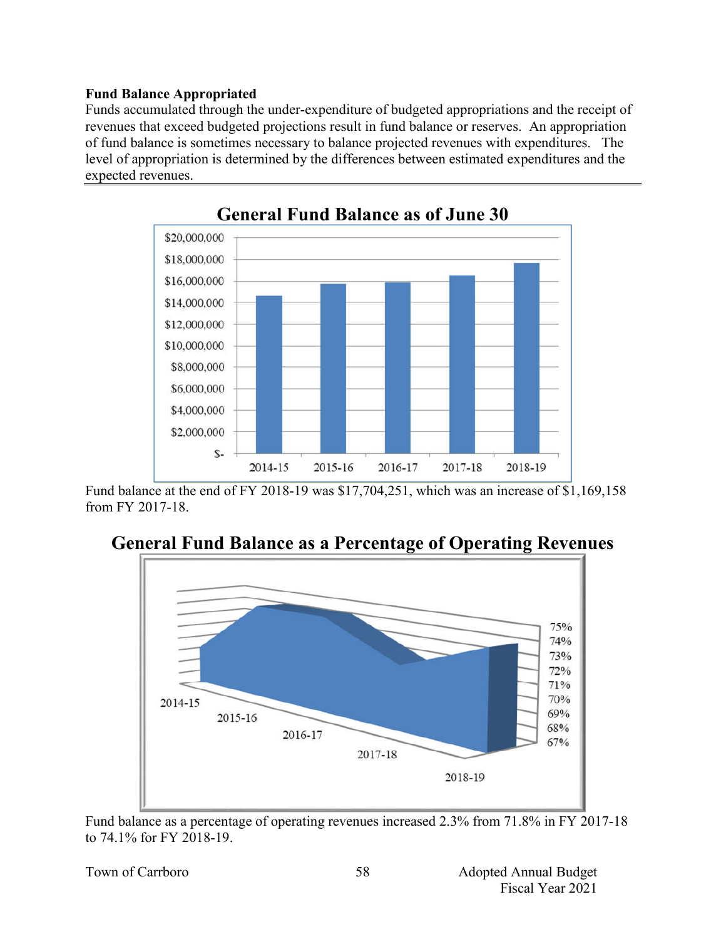#### **Fund Balance Appropriated**

Funds accumulated through the under-expenditure of budgeted appropriations and the receipt of revenues that exceed budgeted projections result in fund balance or reserves. An appropriation of fund balance is sometimes necessary to balance projected revenues with expenditures. The level of appropriation is determined by the differences between estimated expenditures and the expected revenues.



Fund balance at the end of FY 2018-19 was \$17,704,251, which was an increase of \$1,169,158 from FY 2017-18.



**General Fund Balance as a Percentage of Operating Revenues**

Fund balance as a percentage of operating revenues increased 2.3% from 71.8% in FY 2017-18 to 74.1% for FY 2018-19.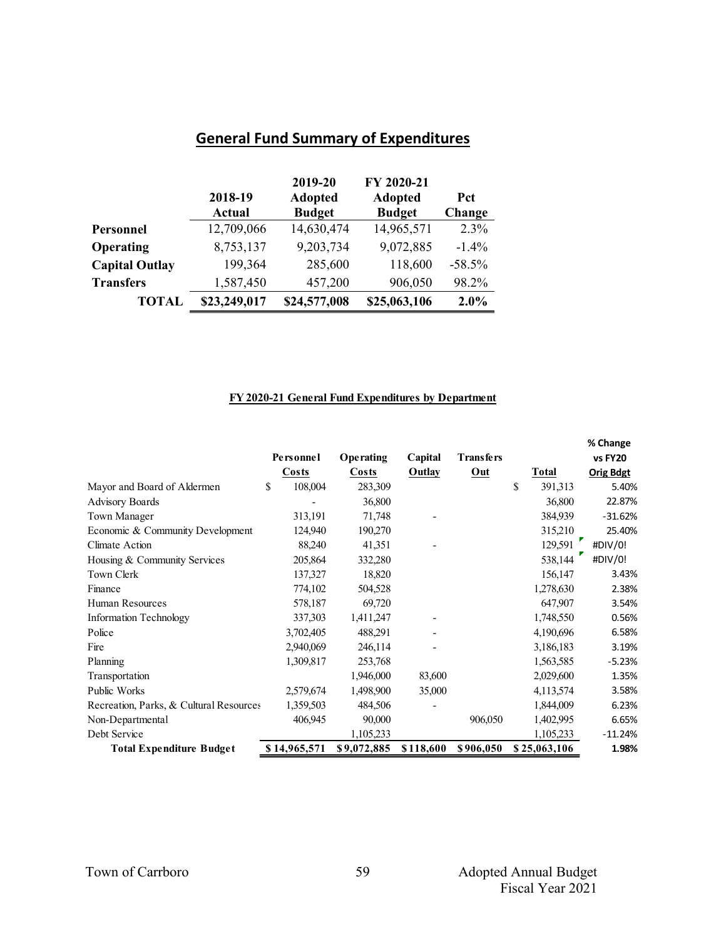# **General Fund Summary of Expenditures**

|                       | 2018-19<br>Actual | 2019-20<br><b>Adopted</b><br><b>Budget</b> | FY 2020-21<br><b>Adopted</b><br><b>Budget</b> | Pct<br>Change |
|-----------------------|-------------------|--------------------------------------------|-----------------------------------------------|---------------|
| Personnel             | 12,709,066        | 14,630,474                                 | 14,965,571                                    | 2.3%          |
| Operating             | 8,753,137         | 9,203,734                                  | 9,072,885                                     | $-1.4\%$      |
| <b>Capital Outlay</b> | 199,364           | 285,600                                    | 118,600                                       | $-58.5%$      |
| <b>Transfers</b>      | 1,587,450         | 457,200                                    | 906,050                                       | 98.2%         |
| <b>TOTAL</b>          | \$23,249,017      | \$24,577,008                               | \$25,063,106                                  | $2.0\%$       |

#### **FY 2020-21 General Fund Expenditures by Department**

|                                         |               |              |           |             |               | % Change         |
|-----------------------------------------|---------------|--------------|-----------|-------------|---------------|------------------|
|                                         | Personnel     | Operating    | Capital   | Trans fe rs |               | vs FY20          |
|                                         | Costs         | <b>Costs</b> | Outlay    | Out         | Total         | <b>Orig Bdgt</b> |
| Mayor and Board of Aldermen             | \$<br>108,004 | 283,309      |           |             | \$<br>391,313 | 5.40%            |
| <b>Advisory Boards</b>                  |               | 36,800       |           |             | 36,800        | 22.87%           |
| Town Manager                            | 313,191       | 71,748       |           |             | 384,939       | $-31.62%$        |
| Economic & Community Development        | 124,940       | 190,270      |           |             | 315,210       | 25.40%           |
| Climate Action                          | 88,240        | 41,351       |           |             | 129,591       | #DIV/0!          |
| Housing & Community Services            | 205,864       | 332,280      |           |             | 538,144       | #DIV/0!          |
| Town Clerk                              | 137,327       | 18,820       |           |             | 156,147       | 3.43%            |
| Finance                                 | 774,102       | 504,528      |           |             | 1,278,630     | 2.38%            |
| Human Resources                         | 578,187       | 69,720       |           |             | 647,907       | 3.54%            |
| <b>Information Technology</b>           | 337,303       | 1,411,247    |           |             | 1,748,550     | 0.56%            |
| Police                                  | 3,702,405     | 488,291      |           |             | 4,190,696     | 6.58%            |
| Fire                                    | 2,940,069     | 246,114      |           |             | 3,186,183     | 3.19%            |
| Planning                                | 1,309,817     | 253,768      |           |             | 1,563,585     | $-5.23%$         |
| Transportation                          |               | 1,946,000    | 83,600    |             | 2,029,600     | 1.35%            |
| Public Works                            | 2,579,674     | 1,498,900    | 35,000    |             | 4,113,574     | 3.58%            |
| Recreation, Parks, & Cultural Resources | 1,359,503     | 484,506      |           |             | 1,844,009     | 6.23%            |
| Non-Departmental                        | 406,945       | 90,000       |           | 906,050     | 1,402,995     | 6.65%            |
| Debt Service                            |               | 1,105,233    |           |             | 1,105,233     | $-11.24%$        |
| <b>Total Expenditure Budget</b>         | \$14,965,571  | \$9,072,885  | \$118,600 | \$906,050   | \$25,063,106  | 1.98%            |